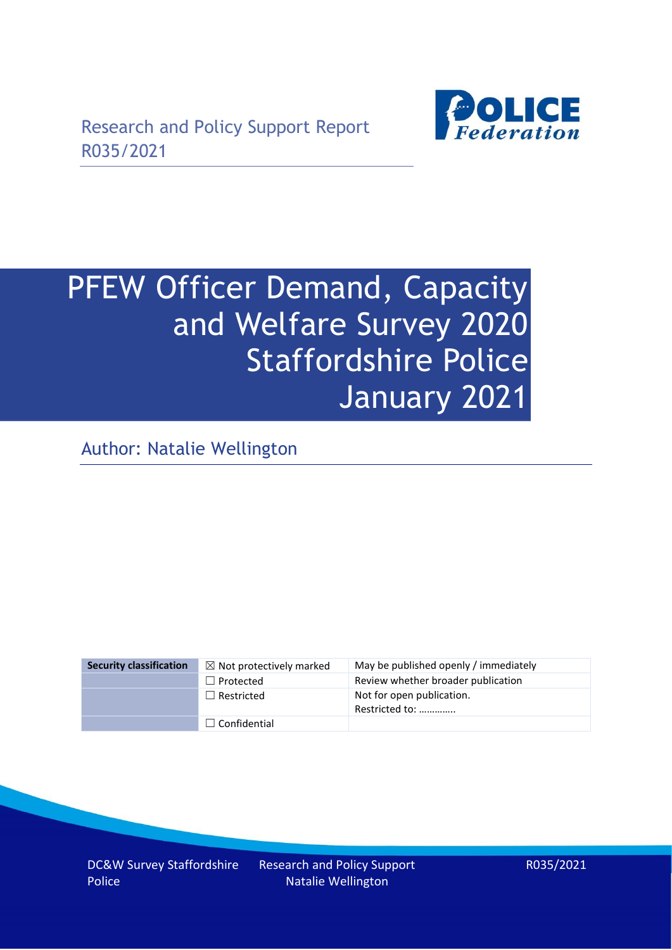

# PFEW Officer Demand, Capacity and Welfare Survey 2020 Staffordshire Police January 2021

Author: Natalie Wellington

| <b>Security classification</b> | $\boxtimes$ Not protectively marked | May be published openly / immediately       |
|--------------------------------|-------------------------------------|---------------------------------------------|
|                                | $\Box$ Protected                    | Review whether broader publication          |
|                                | $\Box$ Restricted                   | Not for open publication.<br>Restricted to: |
|                                | $\Box$ Confidential                 |                                             |

DC&W Survey Staffordshire Police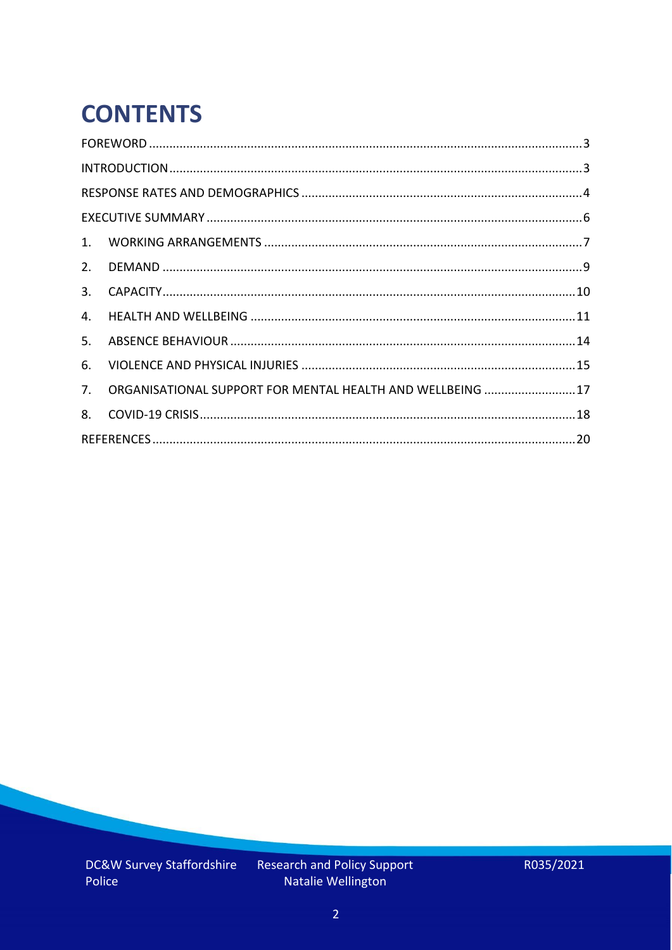# **CONTENTS**

| 2.          |                                                            |  |
|-------------|------------------------------------------------------------|--|
| 3.          |                                                            |  |
| 4.          |                                                            |  |
| 5.          |                                                            |  |
| 6.          |                                                            |  |
| $7_{\cdot}$ | ORGANISATIONAL SUPPORT FOR MENTAL HEALTH AND WELLBEING  17 |  |
| 8.          |                                                            |  |
|             |                                                            |  |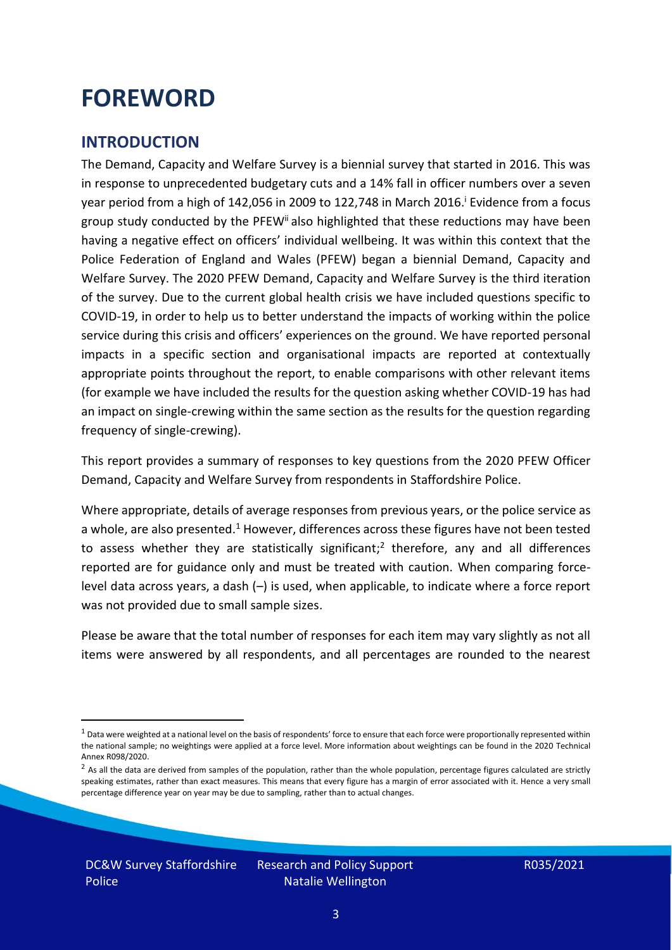### <span id="page-2-0"></span>**FOREWORD**

### <span id="page-2-1"></span>**INTRODUCTION**

The Demand, Capacity and Welfare Survey is a biennial survey that started in 2016. This was in response to unprecedented budgetary cuts and a 14% fall in officer numbers over a seven year period from a high of 142,056 in 2009 to 122,748 in March 2016. <sup>i</sup> Evidence from a focus group study conducted by the PFEW<sup>ii</sup> also highlighted that these reductions may have been having a negative effect on officers' individual wellbeing. It was within this context that the Police Federation of England and Wales (PFEW) began a biennial Demand, Capacity and Welfare Survey. The 2020 PFEW Demand, Capacity and Welfare Survey is the third iteration of the survey. Due to the current global health crisis we have included questions specific to COVID-19, in order to help us to better understand the impacts of working within the police service during this crisis and officers' experiences on the ground. We have reported personal impacts in a specific section and organisational impacts are reported at contextually appropriate points throughout the report, to enable comparisons with other relevant items (for example we have included the results for the question asking whether COVID-19 has had an impact on single-crewing within the same section as the results for the question regarding frequency of single-crewing).

This report provides a summary of responses to key questions from the 2020 PFEW Officer Demand, Capacity and Welfare Survey from respondents in Staffordshire Police.

Where appropriate, details of average responses from previous years, or the police service as a whole, are also presented.<sup>1</sup> However, differences across these figures have not been tested to assess whether they are statistically significant;<sup>2</sup> therefore, any and all differences reported are for guidance only and must be treated with caution. When comparing forcelevel data across years, a dash (–) is used, when applicable, to indicate where a force report was not provided due to small sample sizes.

Please be aware that the total number of responses for each item may vary slightly as not all items were answered by all respondents, and all percentages are rounded to the nearest

 $1$  Data were weighted at a national level on the basis of respondents' force to ensure that each force were proportionally represented within the national sample; no weightings were applied at a force level. More information about weightings can be found in the 2020 Technical Annex R098/2020.

 $2$  As all the data are derived from samples of the population, rather than the whole population, percentage figures calculated are strictly speaking estimates, rather than exact measures. This means that every figure has a margin of error associated with it. Hence a very small percentage difference year on year may be due to sampling, rather than to actual changes.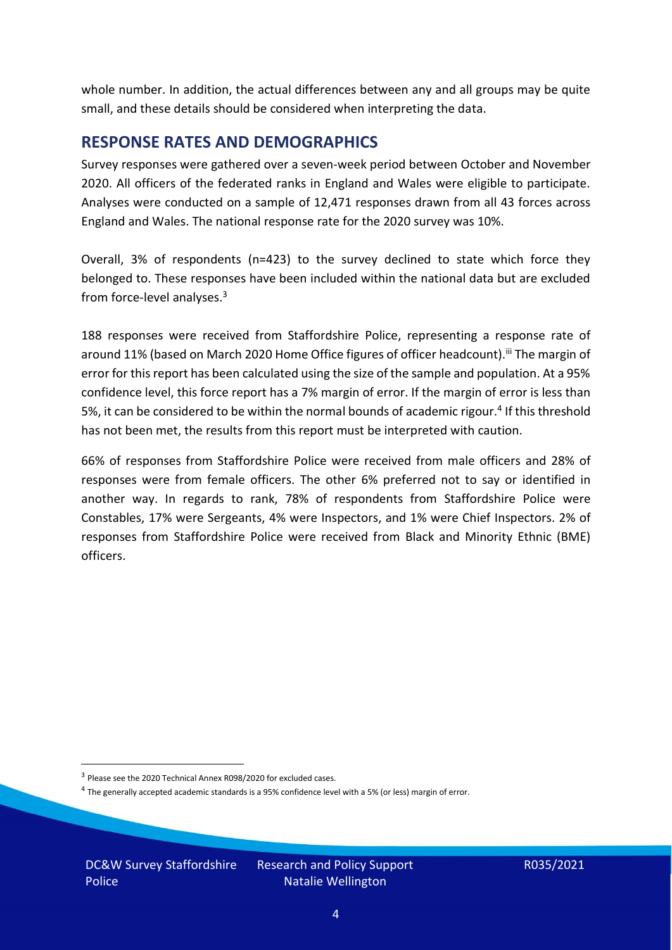whole number. In addition, the actual differences between any and all groups may be quite small, and these details should be considered when interpreting the data.

#### <span id="page-3-0"></span>**RESPONSE RATES AND DEMOGRAPHICS**

Survey responses were gathered over a seven-week period between October and November 2020. All officers of the federated ranks in England and Wales were eligible to participate. Analyses were conducted on a sample of 12,471 responses drawn from all 43 forces across England and Wales. The national response rate for the 2020 survey was 10%.

Overall, 3% of respondents (n=423) to the survey declined to state which force they belonged to. These responses have been included within the national data but are excluded from force-level analyses.<sup>3</sup>

188 responses were received from Staffordshire Police, representing a response rate of around 11% (based on March 2020 Home Office figures of officer headcount).<sup>iii</sup> The margin of error for this report has been calculated using the size of the sample and population. At a 95% confidence level, this force report has a 7% margin of error. If the margin of error is less than 5%, it can be considered to be within the normal bounds of academic rigour.<sup>4</sup> If this threshold has not been met, the results from this report must be interpreted with caution.

66% of responses from Staffordshire Police were received from male officers and 28% of responses were from female officers. The other 6% preferred not to say or identified in another way. In regards to rank, 78% of respondents from Staffordshire Police were Constables, 17% were Sergeants, 4% were Inspectors, and 1% were Chief Inspectors. 2% of responses from Staffordshire Police were received from Black and Minority Ethnic (BME) officers.

DC&W Survey Staffordshire Police

<sup>&</sup>lt;sup>3</sup> Please see the 2020 Technical Annex R098/2020 for excluded cases.

<sup>&</sup>lt;sup>4</sup> The generally accepted academic standards is a 95% confidence level with a 5% (or less) margin of error.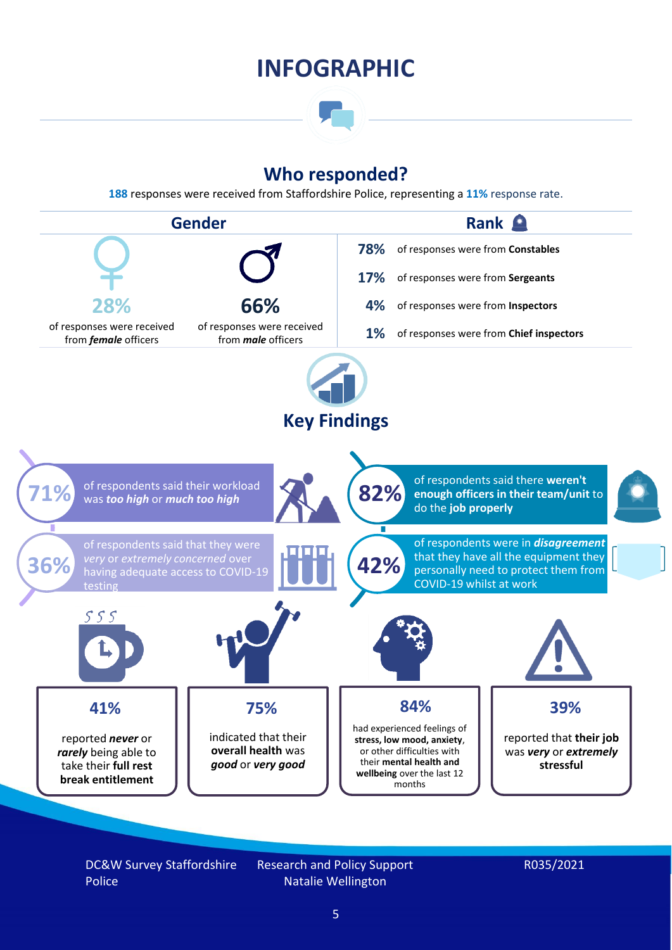### **INFOGRAPHIC**

### **Who responded?**

**188** responses were received from Staffordshire Police, representing a **11%** response rate.



DC&W Survey Staffordshire Police

Research and Policy Support Natalie Wellington

#### R035/2021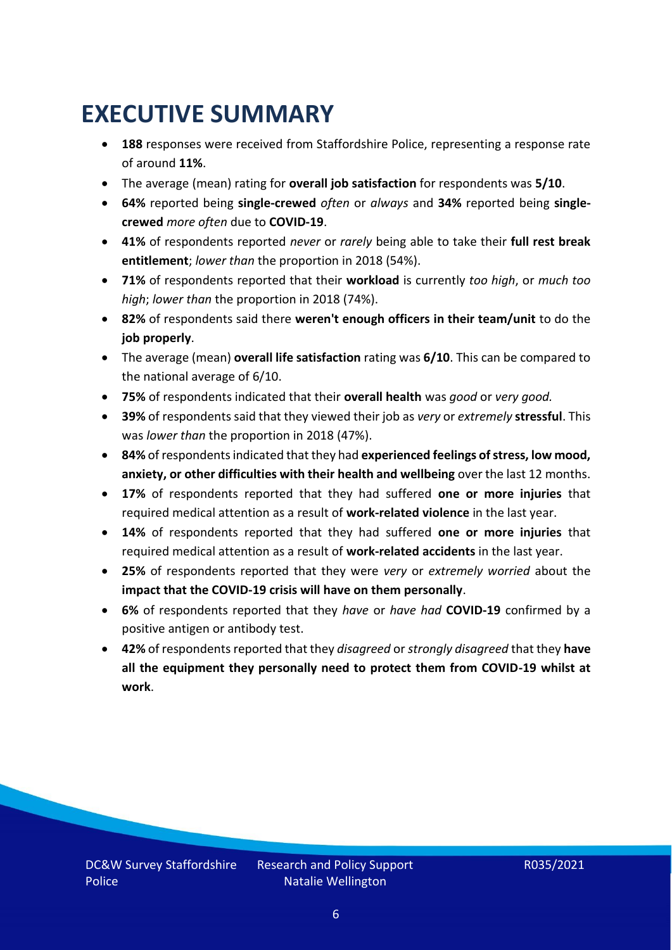### <span id="page-5-0"></span>**EXECUTIVE SUMMARY**

- **188** responses were received from Staffordshire Police, representing a response rate of around **11%**.
- The average (mean) rating for **overall job satisfaction** for respondents was **5/10**.
- **64%** reported being **single-crewed** *often* or *always* and **34%** reported being **singlecrewed** *more often* due to **COVID-19**.
- **41%** of respondents reported *never* or *rarely* being able to take their **full rest break entitlement**; *lower than* the proportion in 2018 (54%).
- **71%** of respondents reported that their **workload** is currently *too high*, or *much too high*; *lower than* the proportion in 2018 (74%).
- **82%** of respondents said there **weren't enough officers in their team/unit** to do the **job properly**.
- The average (mean) **overall life satisfaction** rating was **6/10**. This can be compared to the national average of 6/10.
- **75%** of respondents indicated that their **overall health** was *good* or *very good.*
- **39%** of respondents said that they viewed their job as *very* or *extremely* **stressful**. This was *lower than* the proportion in 2018 (47%).
- **84%** of respondents indicated that they had **experienced feelings of stress, low mood, anxiety, or other difficulties with their health and wellbeing** over the last 12 months.
- **17%** of respondents reported that they had suffered **one or more injuries** that required medical attention as a result of **work-related violence** in the last year.
- **14%** of respondents reported that they had suffered **one or more injuries** that required medical attention as a result of **work-related accidents** in the last year.
- **25%** of respondents reported that they were *very* or *extremely worried* about the **impact that the COVID-19 crisis will have on them personally**.
- **6%** of respondents reported that they *have* or *have had* **COVID-19** confirmed by a positive antigen or antibody test.
- **42%** of respondents reported that they *disagreed* or *strongly disagreed* that they **have all the equipment they personally need to protect them from COVID-19 whilst at work**.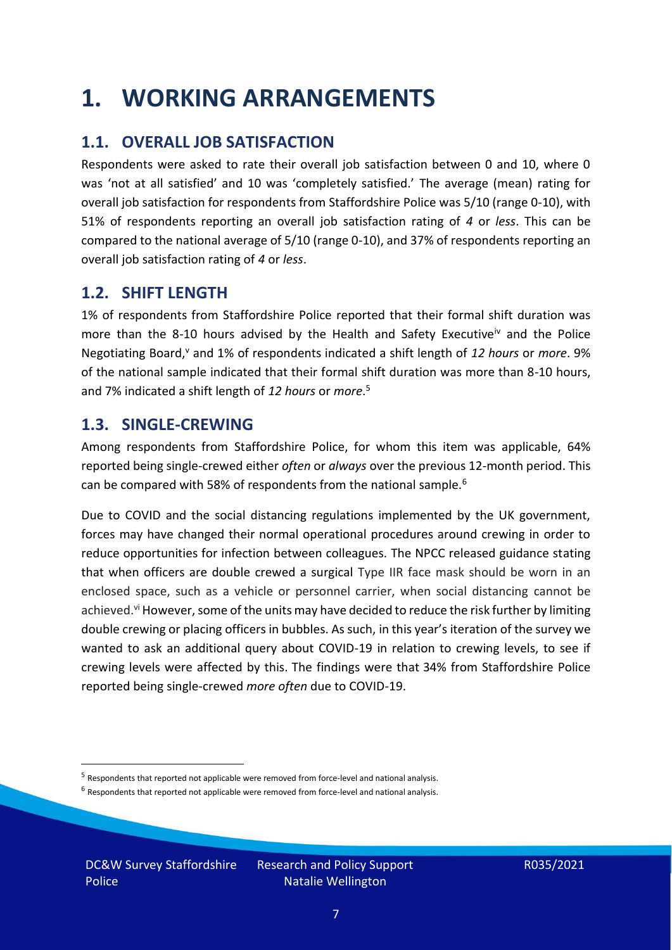### <span id="page-6-0"></span>**1. WORKING ARRANGEMENTS**

### **1.1. OVERALL JOB SATISFACTION**

Respondents were asked to rate their overall job satisfaction between 0 and 10, where 0 was 'not at all satisfied' and 10 was 'completely satisfied.' The average (mean) rating for overall job satisfaction for respondents from Staffordshire Police was 5/10 (range 0-10), with 51% of respondents reporting an overall job satisfaction rating of *4* or *less*. This can be compared to the national average of 5/10 (range 0-10), and 37% of respondents reporting an overall job satisfaction rating of *4* or *less*.

### **1.2. SHIFT LENGTH**

1% of respondents from Staffordshire Police reported that their formal shift duration was more than the 8-10 hours advised by the Health and Safety Executive<sup>iv</sup> and the Police Negotiating Board,<sup>v</sup> and 1% of respondents indicated a shift length of 12 hours or *more*. 9% of the national sample indicated that their formal shift duration was more than 8-10 hours, and 7% indicated a shift length of *12 hours* or *more*. 5

#### **1.3. SINGLE-CREWING**

Among respondents from Staffordshire Police, for whom this item was applicable, 64% reported being single-crewed either *often* or *always* over the previous 12-month period. This can be compared with 58% of respondents from the national sample.<sup>6</sup>

Due to COVID and the social distancing regulations implemented by the UK government, forces may have changed their normal operational procedures around crewing in order to reduce opportunities for infection between colleagues. The NPCC released guidance stating that when officers are double crewed a surgical Type IIR face mask should be worn in an enclosed space, such as a vehicle or personnel carrier, when social distancing cannot be achieved.<sup>vi</sup> However, some of the units may have decided to reduce the risk further by limiting double crewing or placing officers in bubbles. As such, in this year's iteration of the survey we wanted to ask an additional query about COVID-19 in relation to crewing levels, to see if crewing levels were affected by this. The findings were that 34% from Staffordshire Police reported being single-crewed *more often* due to COVID-19.

DC&W Survey Staffordshire Police

<sup>&</sup>lt;sup>5</sup> Respondents that reported not applicable were removed from force-level and national analysis.

 $<sup>6</sup>$  Respondents that reported not applicable were removed from force-level and national analysis.</sup>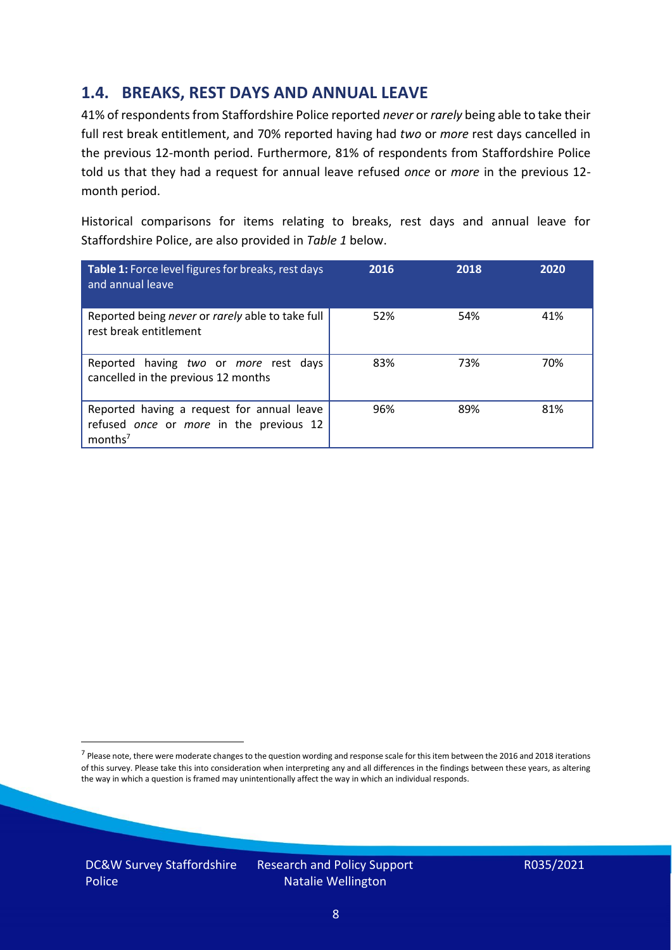### **1.4. BREAKS, REST DAYS AND ANNUAL LEAVE**

41% of respondents from Staffordshire Police reported *never* or *rarely* being able to take their full rest break entitlement, and 70% reported having had *two* or *more* rest days cancelled in the previous 12-month period. Furthermore, 81% of respondents from Staffordshire Police told us that they had a request for annual leave refused *once* or *more* in the previous 12 month period.

Historical comparisons for items relating to breaks, rest days and annual leave for Staffordshire Police, are also provided in *Table 1* below.

| Table 1: Force level figures for breaks, rest days<br>and annual leave                                       | 2016 | 2018 | 2020 |
|--------------------------------------------------------------------------------------------------------------|------|------|------|
| Reported being never or rarely able to take full<br>rest break entitlement                                   | 52%  | 54%  | 41%  |
| Reported having two or more rest days<br>cancelled in the previous 12 months                                 | 83%  | 73%  | 70%  |
| Reported having a request for annual leave<br>refused once or more in the previous 12<br>months <sup>7</sup> | 96%  | 89%  | 81%  |

DC&W Survey Staffordshire Police



<sup>&</sup>lt;sup>7</sup> Please note, there were moderate changes to the question wording and response scale for this item between the 2016 and 2018 iterations of this survey. Please take this into consideration when interpreting any and all differences in the findings between these years, as altering the way in which a question is framed may unintentionally affect the way in which an individual responds.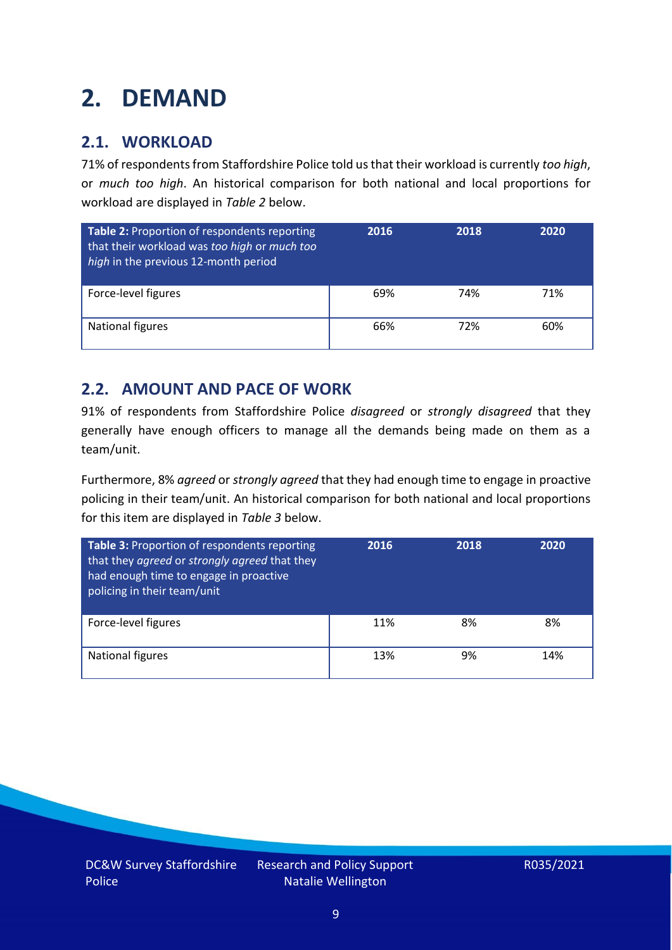### <span id="page-8-0"></span>**2. DEMAND**

### **2.1. WORKLOAD**

71% of respondents from Staffordshire Police told us that their workload is currently *too high*, or *much too high*. An historical comparison for both national and local proportions for workload are displayed in *Table 2* below.

| Table 2: Proportion of respondents reporting<br>that their workload was too high or much too<br>high in the previous 12-month period | 2016 | 2018 | 2020 |
|--------------------------------------------------------------------------------------------------------------------------------------|------|------|------|
| Force-level figures                                                                                                                  | 69%  | 74%  | 71%  |
| National figures                                                                                                                     | 66%  | 72%  | 60%  |

### **2.2. AMOUNT AND PACE OF WORK**

91% of respondents from Staffordshire Police *disagreed* or *strongly disagreed* that they generally have enough officers to manage all the demands being made on them as a team/unit.

Furthermore, 8% *agreed* or *strongly agreed* that they had enough time to engage in proactive policing in their team/unit. An historical comparison for both national and local proportions for this item are displayed in *Table 3* below.

| Table 3: Proportion of respondents reporting<br>that they agreed or strongly agreed that they<br>had enough time to engage in proactive<br>policing in their team/unit | 2016 | 2018 | 2020 |
|------------------------------------------------------------------------------------------------------------------------------------------------------------------------|------|------|------|
| Force-level figures                                                                                                                                                    | 11%  | 8%   | 8%   |
| <b>National figures</b>                                                                                                                                                | 13%  | 9%   | 14%  |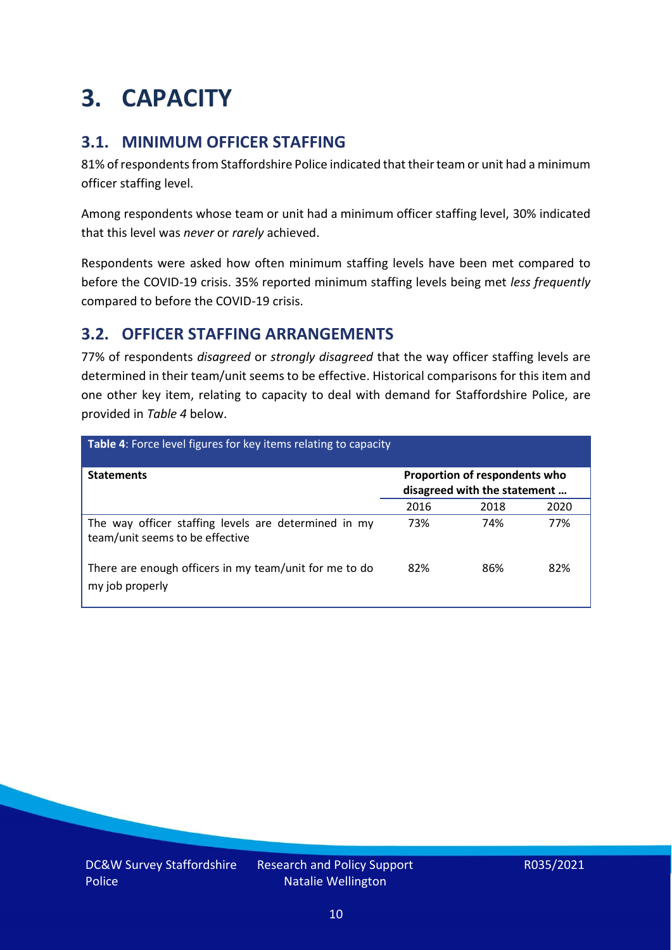## <span id="page-9-0"></span>**3. CAPACITY**

### **3.1. MINIMUM OFFICER STAFFING**

81% of respondents from Staffordshire Police indicated that their team or unit had a minimum officer staffing level.

Among respondents whose team or unit had a minimum officer staffing level, 30% indicated that this level was *never* or *rarely* achieved.

Respondents were asked how often minimum staffing levels have been met compared to before the COVID-19 crisis. 35% reported minimum staffing levels being met *less frequently* compared to before the COVID-19 crisis.

### **3.2. OFFICER STAFFING ARRANGEMENTS**

77% of respondents *disagreed* or *strongly disagreed* that the way officer staffing levels are determined in their team/unit seems to be effective. Historical comparisons for this item and one other key item, relating to capacity to deal with demand for Staffordshire Police, are provided in *Table 4* below.

| Table 4: Force level figures for key items relating to capacity                         |      |                                                               |      |
|-----------------------------------------------------------------------------------------|------|---------------------------------------------------------------|------|
| <b>Statements</b>                                                                       |      | Proportion of respondents who<br>disagreed with the statement |      |
|                                                                                         | 2016 | 2018                                                          | 2020 |
| The way officer staffing levels are determined in my<br>team/unit seems to be effective | 73%  | 74%                                                           | 77%  |
| There are enough officers in my team/unit for me to do<br>my job properly               | 82%  | 86%                                                           | 82%  |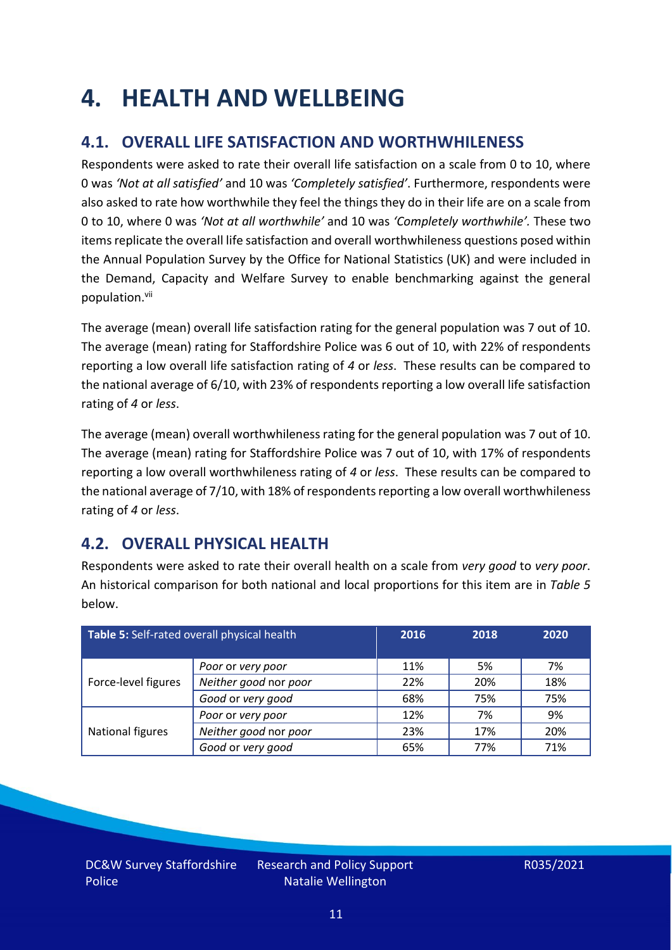### <span id="page-10-0"></span>**4. HEALTH AND WELLBEING**

### **4.1. OVERALL LIFE SATISFACTION AND WORTHWHILENESS**

Respondents were asked to rate their overall life satisfaction on a scale from 0 to 10, where 0 was *'Not at all satisfied'* and 10 was *'Completely satisfied'*. Furthermore, respondents were also asked to rate how worthwhile they feel the things they do in their life are on a scale from 0 to 10, where 0 was *'Not at all worthwhile'* and 10 was *'Completely worthwhile'.* These two items replicate the overall life satisfaction and overall worthwhileness questions posed within the Annual Population Survey by the Office for National Statistics (UK) and were included in the Demand, Capacity and Welfare Survey to enable benchmarking against the general population. vii

The average (mean) overall life satisfaction rating for the general population was 7 out of 10. The average (mean) rating for Staffordshire Police was 6 out of 10, with 22% of respondents reporting a low overall life satisfaction rating of *4* or *less*. These results can be compared to the national average of 6/10, with 23% of respondents reporting a low overall life satisfaction rating of *4* or *less*.

The average (mean) overall worthwhileness rating for the general population was 7 out of 10. The average (mean) rating for Staffordshire Police was 7 out of 10, with 17% of respondents reporting a low overall worthwhileness rating of *4* or *less*. These results can be compared to the national average of 7/10, with 18% of respondents reporting a low overall worthwhileness rating of *4* or *less*.

### **4.2. OVERALL PHYSICAL HEALTH**

Respondents were asked to rate their overall health on a scale from *very good* to *very poor*. An historical comparison for both national and local proportions for this item are in *Table 5* below.

| Table 5: Self-rated overall physical health |                       | 2016 | 2018 | 2020 |
|---------------------------------------------|-----------------------|------|------|------|
|                                             | Poor or very poor     | 11%  | 5%   | 7%   |
| Force-level figures                         | Neither good nor poor | 22%  | 20%  | 18%  |
|                                             | Good or very good     | 68%  | 75%  | 75%  |
|                                             | Poor or very poor     | 12%  | 7%   | 9%   |
| National figures                            | Neither good nor poor | 23%  | 17%  | 20%  |
|                                             | Good or very good     | 65%  | 77%  | 71%  |

DC&W Survey Staffordshire Police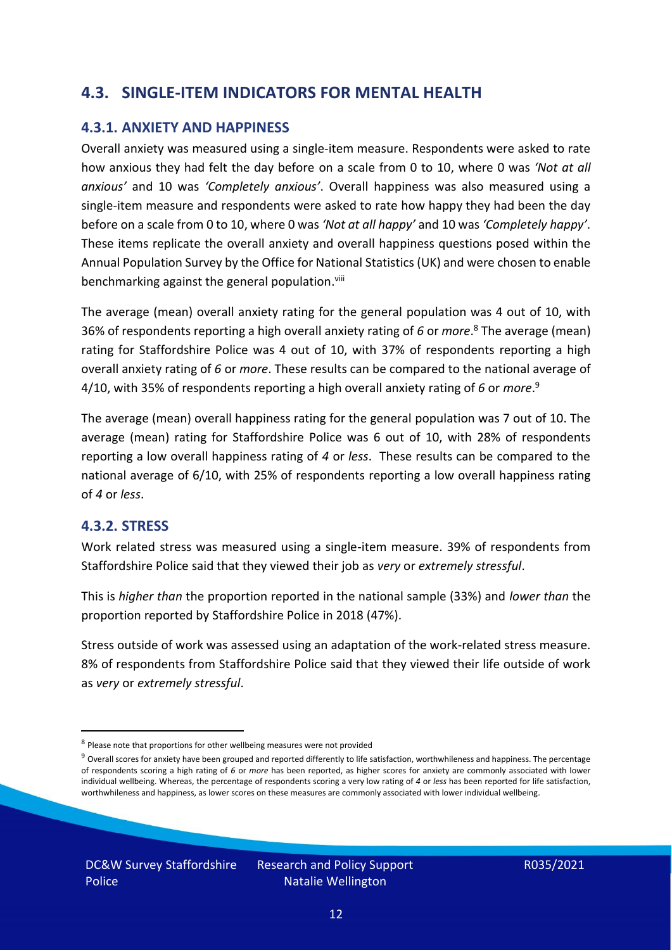### **4.3. SINGLE-ITEM INDICATORS FOR MENTAL HEALTH**

#### **4.3.1. ANXIETY AND HAPPINESS**

Overall anxiety was measured using a single-item measure. Respondents were asked to rate how anxious they had felt the day before on a scale from 0 to 10, where 0 was *'Not at all anxious'* and 10 was *'Completely anxious'*. Overall happiness was also measured using a single-item measure and respondents were asked to rate how happy they had been the day before on a scale from 0 to 10, where 0 was *'Not at all happy'* and 10 was *'Completely happy'*. These items replicate the overall anxiety and overall happiness questions posed within the Annual Population Survey by the Office for National Statistics (UK) and were chosen to enable benchmarking against the general population.<sup>viii</sup>

The average (mean) overall anxiety rating for the general population was 4 out of 10, with 36% of respondents reporting a high overall anxiety rating of *6* or *more*. <sup>8</sup> The average (mean) rating for Staffordshire Police was 4 out of 10, with 37% of respondents reporting a high overall anxiety rating of *6* or *more*. These results can be compared to the national average of 4/10, with 35% of respondents reporting a high overall anxiety rating of *6* or *more*. 9

The average (mean) overall happiness rating for the general population was 7 out of 10. The average (mean) rating for Staffordshire Police was 6 out of 10, with 28% of respondents reporting a low overall happiness rating of *4* or *less*. These results can be compared to the national average of 6/10, with 25% of respondents reporting a low overall happiness rating of *4* or *less*.

#### **4.3.2. STRESS**

Work related stress was measured using a single-item measure. 39% of respondents from Staffordshire Police said that they viewed their job as *very* or *extremely stressful*.

This is *higher than* the proportion reported in the national sample (33%) and *lower than* the proportion reported by Staffordshire Police in 2018 (47%).

Stress outside of work was assessed using an adaptation of the work-related stress measure. 8% of respondents from Staffordshire Police said that they viewed their life outside of work as *very* or *extremely stressful*.

<sup>&</sup>lt;sup>8</sup> Please note that proportions for other wellbeing measures were not provided

 $9$  Overall scores for anxiety have been grouped and reported differently to life satisfaction, worthwhileness and happiness. The percentage of respondents scoring a high rating of *6* or *more* has been reported, as higher scores for anxiety are commonly associated with lower individual wellbeing. Whereas, the percentage of respondents scoring a very low rating of *4* or *less* has been reported for life satisfaction, worthwhileness and happiness, as lower scores on these measures are commonly associated with lower individual wellbeing.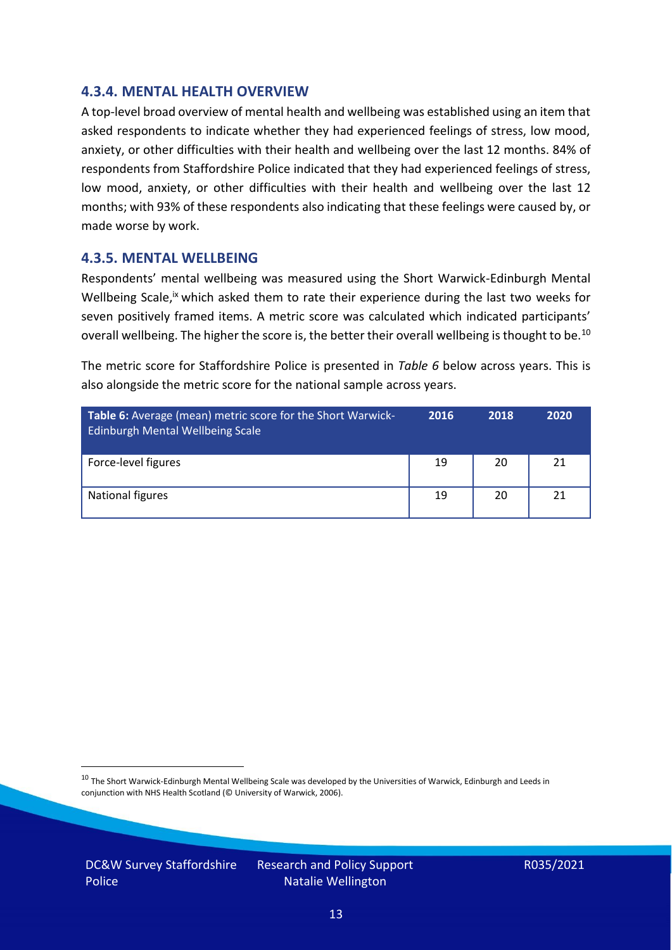#### **4.3.4. MENTAL HEALTH OVERVIEW**

A top-level broad overview of mental health and wellbeing was established using an item that asked respondents to indicate whether they had experienced feelings of stress, low mood, anxiety, or other difficulties with their health and wellbeing over the last 12 months. 84% of respondents from Staffordshire Police indicated that they had experienced feelings of stress, low mood, anxiety, or other difficulties with their health and wellbeing over the last 12 months; with 93% of these respondents also indicating that these feelings were caused by, or made worse by work.

#### **4.3.5. MENTAL WELLBEING**

Respondents' mental wellbeing was measured using the Short Warwick-Edinburgh Mental Wellbeing Scale,<sup>ix</sup> which asked them to rate their experience during the last two weeks for seven positively framed items. A metric score was calculated which indicated participants' overall wellbeing. The higher the score is, the better their overall wellbeing is thought to be.<sup>10</sup>

The metric score for Staffordshire Police is presented in *Table 6* below across years. This is also alongside the metric score for the national sample across years.

| <b>Table 6:</b> Average (mean) metric score for the Short Warwick-<br>Edinburgh Mental Wellbeing Scale | 2016 | 2018 | 2020 |
|--------------------------------------------------------------------------------------------------------|------|------|------|
| Force-level figures                                                                                    | 19   | 20   | 21   |
| National figures                                                                                       | 19   | 20   | 21   |

 $10$  The Short Warwick-Edinburgh Mental Wellbeing Scale was developed by the Universities of Warwick, Edinburgh and Leeds in conjunction with NHS Health Scotland (© University of Warwick, 2006).

DC&W Survey Staffordshire Police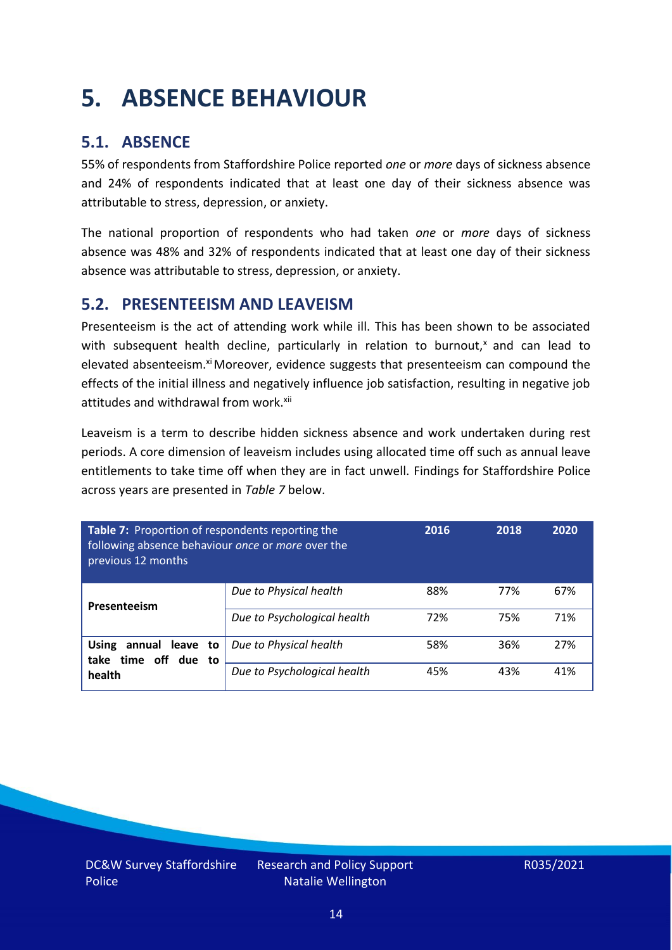### <span id="page-13-0"></span>**5. ABSENCE BEHAVIOUR**

### **5.1. ABSENCE**

55% of respondents from Staffordshire Police reported *one* or *more* days of sickness absence and 24% of respondents indicated that at least one day of their sickness absence was attributable to stress, depression, or anxiety.

The national proportion of respondents who had taken *one* or *more* days of sickness absence was 48% and 32% of respondents indicated that at least one day of their sickness absence was attributable to stress, depression, or anxiety.

#### **5.2. PRESENTEEISM AND LEAVEISM**

Presenteeism is the act of attending work while ill. This has been shown to be associated with subsequent health decline, particularly in relation to burnout, $x$  and can lead to elevated absenteeism.<sup>xi</sup> Moreover, evidence suggests that presenteeism can compound the effects of the initial illness and negatively influence job satisfaction, resulting in negative job attitudes and withdrawal from work.<sup>xii</sup>

Leaveism is a term to describe hidden sickness absence and work undertaken during rest periods. A core dimension of leaveism includes using allocated time off such as annual leave entitlements to take time off when they are in fact unwell. Findings for Staffordshire Police across years are presented in *Table 7* below.

| Table 7: Proportion of respondents reporting the<br>following absence behaviour once or more over the<br>previous 12 months |                             | 2016 | 2018 | 2020 |
|-----------------------------------------------------------------------------------------------------------------------------|-----------------------------|------|------|------|
| Presenteeism                                                                                                                | Due to Physical health      | 88%  | 77%  | 67%  |
|                                                                                                                             | Due to Psychological health | 72%  | 75%  | 71%  |
| <b>Using</b><br>annual leave to<br>time off due to<br>take<br>health                                                        | Due to Physical health      | 58%  | 36%  | 27%  |
|                                                                                                                             | Due to Psychological health | 45%  | 43%  | 41%  |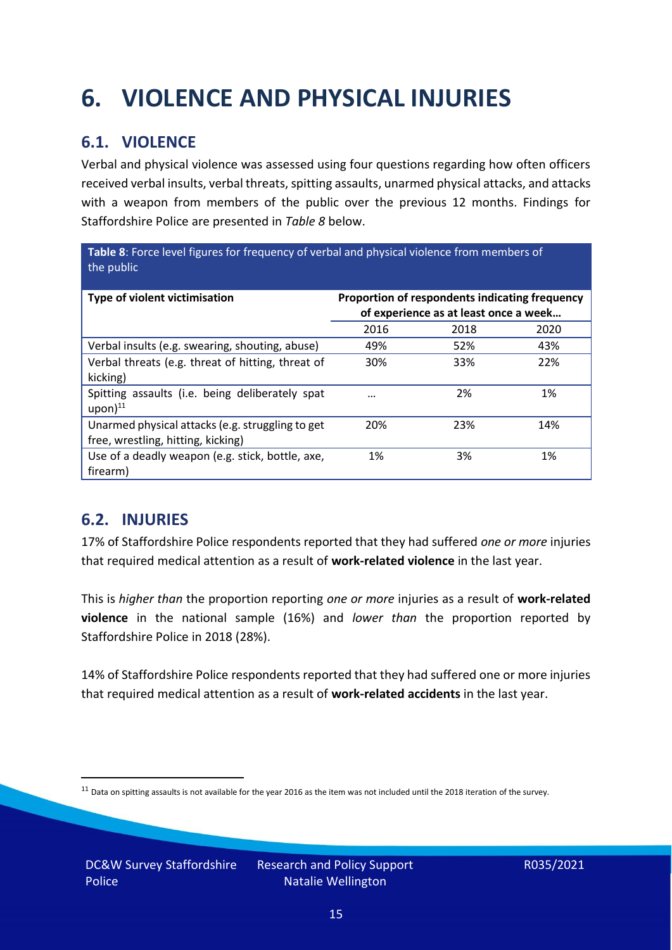## <span id="page-14-0"></span>**6. VIOLENCE AND PHYSICAL INJURIES**

### **6.1. VIOLENCE**

Verbal and physical violence was assessed using four questions regarding how often officers received verbal insults, verbal threats, spitting assaults, unarmed physical attacks, and attacks with a weapon from members of the public over the previous 12 months. Findings for Staffordshire Police are presented in *Table 8* below.

**Table 8**: Force level figures for frequency of verbal and physical violence from members of the public

| Type of violent victimisation                                                          | Proportion of respondents indicating frequency<br>of experience as at least once a week |      |      |
|----------------------------------------------------------------------------------------|-----------------------------------------------------------------------------------------|------|------|
|                                                                                        | 2016                                                                                    | 2018 | 2020 |
| Verbal insults (e.g. swearing, shouting, abuse)                                        | 49%                                                                                     | 52%  | 43%  |
| Verbal threats (e.g. threat of hitting, threat of<br>kicking)                          | 30%                                                                                     | 33%  | 22%  |
| Spitting assaults (i.e. being deliberately spat<br>$upon)$ <sup>11</sup>               | $\cdots$                                                                                | 2%   | 1%   |
| Unarmed physical attacks (e.g. struggling to get<br>free, wrestling, hitting, kicking) | 20%                                                                                     | 23%  | 14%  |
| Use of a deadly weapon (e.g. stick, bottle, axe,<br>firearm)                           | 1%                                                                                      | 3%   | 1%   |

### **6.2. INJURIES**

17% of Staffordshire Police respondents reported that they had suffered *one or more* injuries that required medical attention as a result of **work-related violence** in the last year.

This is *higher than* the proportion reporting *one or more* injuries as a result of **work-related violence** in the national sample (16%) and *lower than* the proportion reported by Staffordshire Police in 2018 (28%).

14% of Staffordshire Police respondents reported that they had suffered one or more injuries that required medical attention as a result of **work-related accidents** in the last year.

 $11$  Data on spitting assaults is not available for the year 2016 as the item was not included until the 2018 iteration of the survey.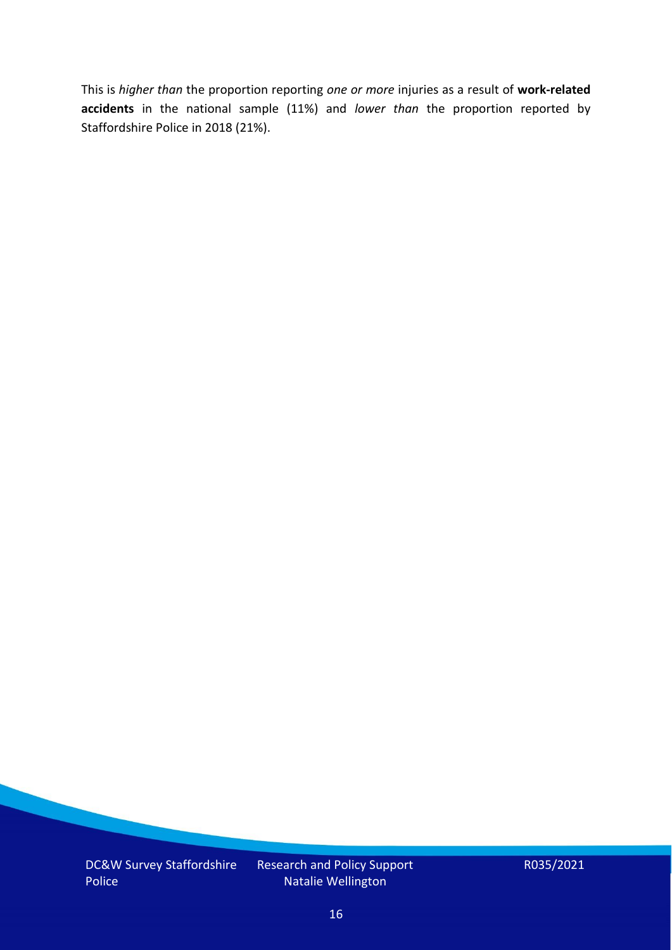This is *higher than* the proportion reporting *one or more* injuries as a result of **work-related accidents** in the national sample (11%) and *lower than* the proportion reported by Staffordshire Police in 2018 (21%).

DC&W Survey Staffordshire Police

Research and Policy Support Natalie Wellington

R035/2021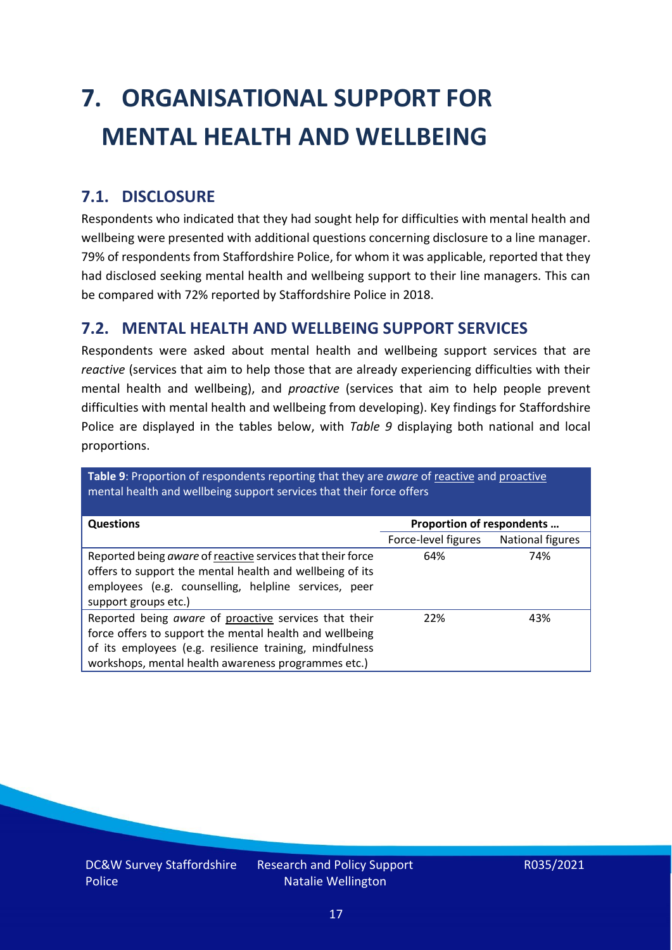# <span id="page-16-0"></span>**7. ORGANISATIONAL SUPPORT FOR MENTAL HEALTH AND WELLBEING**

### **7.1. DISCLOSURE**

Respondents who indicated that they had sought help for difficulties with mental health and wellbeing were presented with additional questions concerning disclosure to a line manager. 79% of respondents from Staffordshire Police, for whom it was applicable, reported that they had disclosed seeking mental health and wellbeing support to their line managers. This can be compared with 72% reported by Staffordshire Police in 2018.

#### **7.2. MENTAL HEALTH AND WELLBEING SUPPORT SERVICES**

Respondents were asked about mental health and wellbeing support services that are *reactive* (services that aim to help those that are already experiencing difficulties with their mental health and wellbeing), and *proactive* (services that aim to help people prevent difficulties with mental health and wellbeing from developing). Key findings for Staffordshire Police are displayed in the tables below, with *Table 9* displaying both national and local proportions.

**Table 9**: Proportion of respondents reporting that they are *aware* of reactive and proactive mental health and wellbeing support services that their force offers

| <b>Questions</b>                                                                                                                                                                                                                   | Proportion of respondents |                  |
|------------------------------------------------------------------------------------------------------------------------------------------------------------------------------------------------------------------------------------|---------------------------|------------------|
|                                                                                                                                                                                                                                    | Force-level figures       | National figures |
| Reported being aware of reactive services that their force<br>offers to support the mental health and wellbeing of its<br>employees (e.g. counselling, helpline services, peer<br>support groups etc.)                             | 64%                       | 74%              |
| Reported being aware of proactive services that their<br>force offers to support the mental health and wellbeing<br>of its employees (e.g. resilience training, mindfulness<br>workshops, mental health awareness programmes etc.) | 22%                       | 43%              |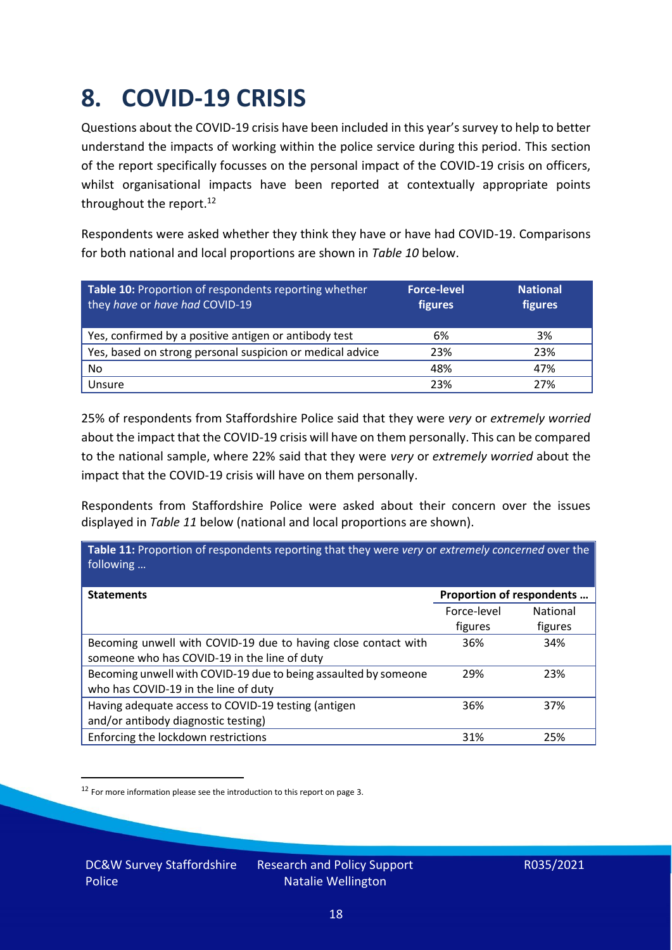### <span id="page-17-0"></span>**8. COVID-19 CRISIS**

Questions about the COVID-19 crisis have been included in this year's survey to help to better understand the impacts of working within the police service during this period. This section of the report specifically focusses on the personal impact of the COVID-19 crisis on officers, whilst organisational impacts have been reported at contextually appropriate points throughout the report.<sup>12</sup>

Respondents were asked whether they think they have or have had COVID-19. Comparisons for both national and local proportions are shown in *Table 10* below.

| Table 10: Proportion of respondents reporting whether<br>they have or have had COVID-19 | <b>Force-level</b><br>figures | <b>National</b><br>figures |
|-----------------------------------------------------------------------------------------|-------------------------------|----------------------------|
| Yes, confirmed by a positive antigen or antibody test                                   | 6%                            | 3%                         |
| Yes, based on strong personal suspicion or medical advice                               | 23%                           | 23%                        |
| No                                                                                      | 48%                           | 47%                        |
| Unsure                                                                                  | 23%                           | 27%                        |

25% of respondents from Staffordshire Police said that they were *very* or *extremely worried* about the impact that the COVID-19 crisis will have on them personally. This can be compared to the national sample, where 22% said that they were *very* or *extremely worried* about the impact that the COVID-19 crisis will have on them personally.

Respondents from Staffordshire Police were asked about their concern over the issues displayed in *Table 11* below (national and local proportions are shown).

| Table 11: Proportion of respondents reporting that they were very or extremely concerned over the<br>following |                           |                            |
|----------------------------------------------------------------------------------------------------------------|---------------------------|----------------------------|
| <b>Statements</b>                                                                                              | Proportion of respondents |                            |
|                                                                                                                | Force-level<br>figures    | <b>National</b><br>figures |
| Becoming unwell with COVID-19 due to having close contact with<br>someone who has COVID-19 in the line of duty | 36%                       | 34%                        |
| Becoming unwell with COVID-19 due to being assaulted by someone<br>who has COVID-19 in the line of duty        | 29%                       | 23%                        |
| Having adequate access to COVID-19 testing (antigen<br>and/or antibody diagnostic testing)                     | 36%                       | 37%                        |
| Enforcing the lockdown restrictions                                                                            | 31%                       | 25%                        |

<sup>12</sup> For more information please see the introduction to this report on page 3.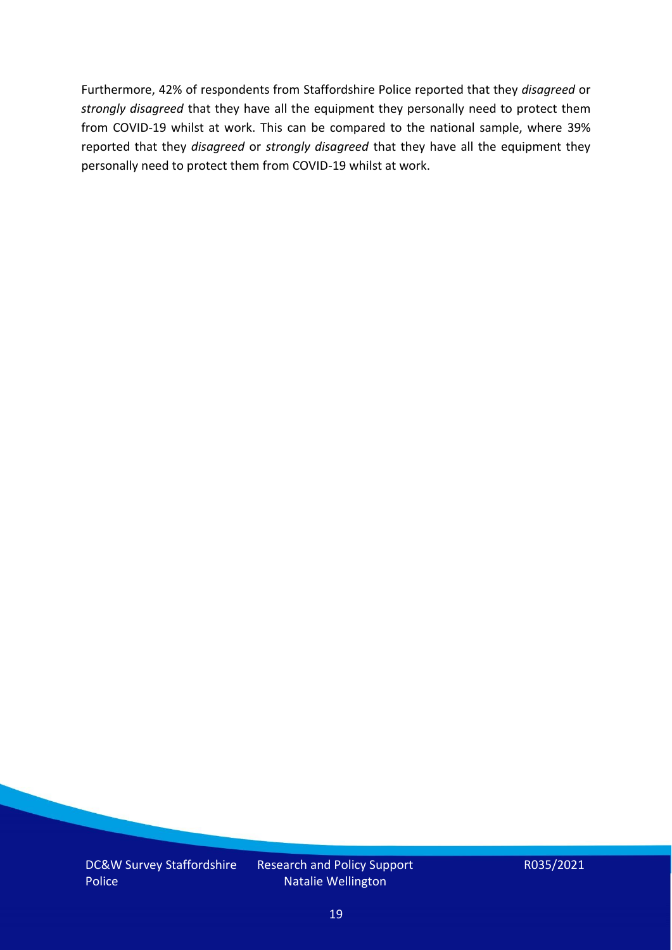Furthermore, 42% of respondents from Staffordshire Police reported that they *disagreed* or *strongly disagreed* that they have all the equipment they personally need to protect them from COVID-19 whilst at work. This can be compared to the national sample, where 39% reported that they *disagreed* or *strongly disagreed* that they have all the equipment they personally need to protect them from COVID-19 whilst at work.

DC&W Survey Staffordshire Police

Research and Policy Support Natalie Wellington

R035/2021